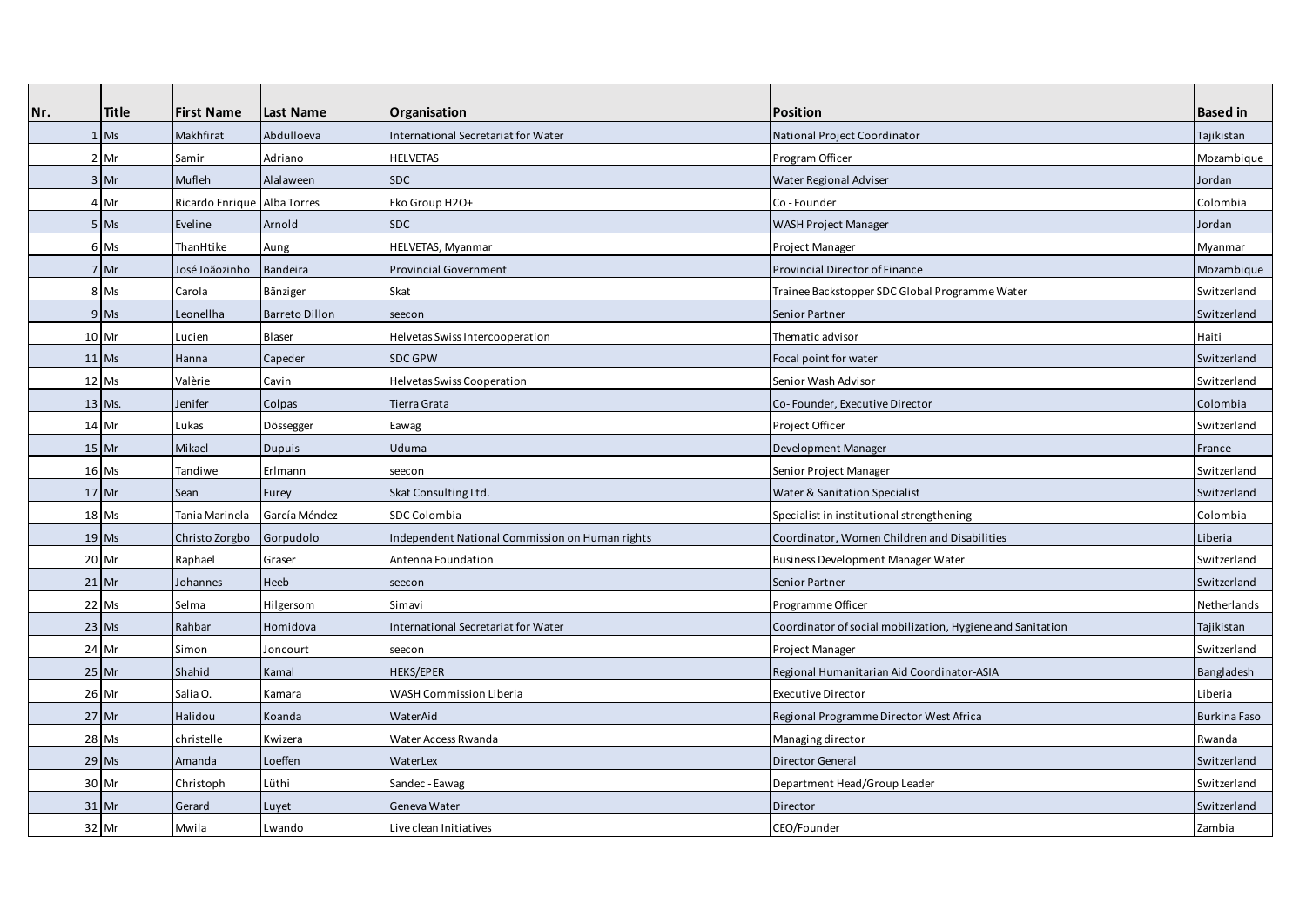| Nr. | <b>Title</b> | <b>First Name</b>           | Last Name             | <b>Organisation</b>                             | <b>Position</b>                                            | <b>Based in</b>     |
|-----|--------------|-----------------------------|-----------------------|-------------------------------------------------|------------------------------------------------------------|---------------------|
|     | $1$ Ms       | Makhfirat                   | Abdulloeva            | International Secretariat for Water             | National Project Coordinator                               | Tajikistan          |
|     | 2 Mr         | Samir                       | Adriano               | <b>HELVETAS</b>                                 | Program Officer                                            | Mozambique          |
|     | $3$ Mr       | Mufleh                      | Alalaween             | <b>SDC</b>                                      | Water Regional Adviser                                     | Jordan              |
|     | 4 Mr         | Ricardo Enrique Alba Torres |                       | Eko Group H2O+                                  | Co - Founder                                               | Colombia            |
|     | 5 Ms         | Eveline                     | Arnold                | <b>SDC</b>                                      | <b>WASH Project Manager</b>                                | Jordan              |
|     | 6 Ms         | ThanHtike                   | Aung                  | HELVETAS, Myanmar                               | Project Manager                                            | Myanmar             |
|     | 7 Mr         | José Joãozinho              | <b>Bandeira</b>       | <b>Provincial Government</b>                    | Provincial Director of Finance                             | Mozambique          |
|     | 8 Ms         | Carola                      | Bänziger              | Skat                                            | Trainee Backstopper SDC Global Programme Water             | Switzerland         |
|     | 9 Ms         | Leonellha                   | <b>Barreto Dillon</b> | seecon                                          | Senior Partner                                             | Switzerland         |
|     | 10 Mr        | Lucien                      | <b>Blaser</b>         | Helvetas Swiss Intercooperation                 | Thematic advisor                                           | Haiti               |
|     | $11$ Ms      | Hanna                       | Capeder               | <b>SDC GPW</b>                                  | Focal point for water                                      | Switzerland         |
|     | 12 Ms        | Valèrie                     | Cavin                 | <b>Helvetas Swiss Cooperation</b>               | Senior Wash Advisor                                        | Switzerland         |
|     | 13 Ms.       | Jenifer                     | Colpas                | Tierra Grata                                    | Co-Founder, Executive Director                             | Colombia            |
|     | 14 Mr        | Lukas                       | Dössegger             | Eawag                                           | Project Officer                                            | Switzerland         |
|     | $15$ Mr      | Mikael                      | <b>Dupuis</b>         | Uduma                                           | Development Manager                                        | France              |
|     | 16 Ms        | Tandiwe                     | Erlmann               | seecon                                          | Senior Project Manager                                     | Switzerland         |
|     | $17$ Mr      | Sean                        | Furey                 | Skat Consulting Ltd.                            | Water & Sanitation Specialist                              | Switzerland         |
|     | 18 Ms        | Tania Marinela              | García Méndez         | SDC Colombia                                    | Specialist in institutional strengthening                  | Colombia            |
|     | $19$ Ms      | Christo Zorgbo              | Gorpudolo             | Independent National Commission on Human rights | Coordinator, Women Children and Disabilities               | Liberia             |
|     | 20 Mr        | Raphael                     | Graser                | Antenna Foundation                              | Business Development Manager Water                         | Switzerland         |
|     | $21$ Mr      | Johannes                    | Heeb                  | seecon                                          | Senior Partner                                             | Switzerland         |
|     | 22 Ms        | Selma                       | Hilgersom             | Simavi                                          | Programme Officer                                          | Netherlands         |
|     | $23$ Ms      | Rahbar                      | Homidova              | International Secretariat for Water             | Coordinator of social mobilization, Hygiene and Sanitation | Tajikistan          |
|     | 24 Mr        | Simon                       | Joncourt              | seecon                                          | Project Manager                                            | Switzerland         |
|     | 25 Mr        | Shahid                      | Kamal                 | HEKS/EPER                                       | Regional Humanitarian Aid Coordinator-ASIA                 | Bangladesh          |
|     | 26 Mr        | Salia O.                    | Kamara                | <b>WASH Commission Liberia</b>                  | <b>Executive Director</b>                                  | Liberia             |
|     | $27$ Mr      | Halidou                     | Koanda                | WaterAid                                        | Regional Programme Director West Africa                    | <b>Burkina Faso</b> |
|     | 28 Ms        | christelle                  | Kwizera               | Water Access Rwanda                             | Managing director                                          | Rwanda              |
|     | 29 Ms        | Amanda                      | Loeffen               | WaterLex                                        | <b>Director General</b>                                    | Switzerland         |
|     | 30 Mr        | Christoph                   | Lüthi                 | Sandec - Eawag                                  | Department Head/Group Leader                               | Switzerland         |
|     | $31$ Mr      | Gerard                      | Luyet                 | Geneva Water                                    | Director                                                   | Switzerland         |
|     | 32 Mr        | Mwila                       | Lwando                | Live clean Initiatives                          | CEO/Founder                                                | Zambia              |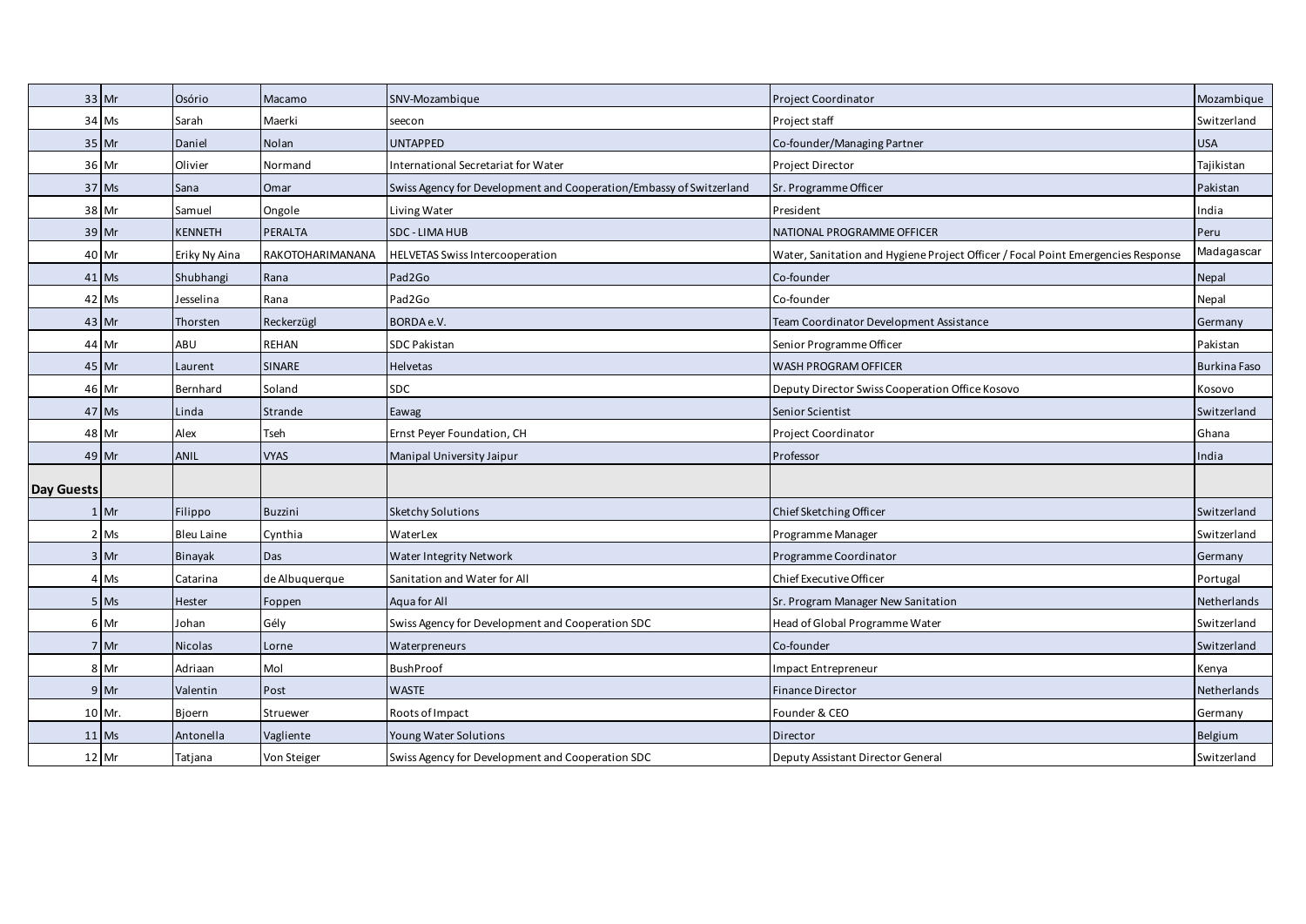|            | 33 Mr   | Osório            | Macamo           | SNV-Mozambique                                                      | Project Coordinator                                                              | Mozambique          |
|------------|---------|-------------------|------------------|---------------------------------------------------------------------|----------------------------------------------------------------------------------|---------------------|
|            | 34 Ms   | Sarah             | Maerki           | seecon                                                              | Project staff                                                                    | Switzerland         |
|            | $35$ Mr | Daniel            | Nolan            | <b>UNTAPPED</b>                                                     | Co-founder/Managing Partner                                                      | <b>USA</b>          |
|            | 36 Mr   | Olivier           | Normand          | International Secretariat for Water                                 | Project Director                                                                 | Tajikistan          |
|            | 37 Ms   | Sana              | Omar             | Swiss Agency for Development and Cooperation/Embassy of Switzerland | Sr. Programme Officer                                                            | Pakistan            |
|            | 38 Mr   | Samuel            | Ongole           | Living Water                                                        | President                                                                        | India               |
|            | 39 Mr   | <b>KENNETH</b>    | PERALTA          | <b>SDC - LIMA HUB</b>                                               | NATIONAL PROGRAMME OFFICER                                                       | Peru                |
|            | 40 Mr   | Eriky Ny Aina     | RAKOTOHARIMANANA | <b>HELVETAS Swiss Intercooperation</b>                              | Water, Sanitation and Hygiene Project Officer / Focal Point Emergencies Response | Madagascar          |
|            | 41 Ms   | Shubhangi         | Rana             | Pad2Go                                                              | Co-founder                                                                       | Nepal               |
|            | 42 Ms   | Jesselina         | Rana             | Pad2Go                                                              | Co-founder                                                                       | Nepal               |
|            | 43 Mr   | Thorsten          | Reckerzügl       | BORDA e.V.                                                          | Team Coordinator Development Assistance                                          | Germany             |
|            | 44 Mr   | ABU               | REHAN            | <b>SDC Pakistan</b>                                                 | Senior Programme Officer                                                         | Pakistan            |
|            | 45 Mr   | Laurent           | SINARE           | Helvetas                                                            | WASH PROGRAM OFFICER                                                             | <b>Burkina Faso</b> |
|            | 46 Mr   | Bernhard          | Soland           | <b>SDC</b>                                                          | Deputy Director Swiss Cooperation Office Kosovo                                  | Kosovo              |
|            | 47 Ms   | Linda             | Strande          | Eawag                                                               | Senior Scientist                                                                 | Switzerland         |
|            | 48 Mr   | Alex              | Tseh             | Ernst Peyer Foundation, CH                                          | Project Coordinator                                                              | Ghana               |
|            | 49 Mr   | ANIL              | <b>VYAS</b>      | Manipal University Jaipur                                           | Professor                                                                        | India               |
| Day Guests |         |                   |                  |                                                                     |                                                                                  |                     |
|            | $1$ Mr  | Filippo           | <b>Buzzini</b>   | <b>Sketchy Solutions</b>                                            | Chief Sketching Officer                                                          | Switzerland         |
|            | 2 Ms    | <b>Bleu Laine</b> | Cynthia          | WaterLex                                                            | Programme Manager                                                                | Switzerland         |
|            | 3 Mr    | Binayak           | Das              | <b>Water Integrity Network</b>                                      | Programme Coordinator                                                            | Germany             |
|            | 4 Ms    | Catarina          | de Albuquerque   | Sanitation and Water for All                                        | Chief Executive Officer                                                          | Portugal            |
|            | 5 Ms    | Hester            | Foppen           | Aqua for All                                                        | Sr. Program Manager New Sanitation                                               | Netherlands         |
|            | 6 Mr    | Johan             | Gély             | Swiss Agency for Development and Cooperation SDC                    | Head of Global Programme Water                                                   | Switzerland         |
|            | 7 Mr    | Nicolas           | Lorne            | Waterpreneurs                                                       | Co-founder                                                                       | Switzerland         |
|            | 8 Mr    | Adriaan           | Mol              | <b>BushProof</b>                                                    | Impact Entrepreneur                                                              | Kenya               |
|            | 9 Mr    | Valentin          | Post             | <b>WASTE</b>                                                        | <b>Finance Director</b>                                                          | Netherlands         |
|            | 10 Mr.  | Bioern            | Struewer         | Roots of Impact                                                     | Founder & CEO                                                                    | Germany             |
|            | $11$ Ms | Antonella         | Vagliente        | Young Water Solutions                                               | Director                                                                         | Belgium             |
|            | 12 Mr   | Tatjana           | Von Steiger      | Swiss Agency for Development and Cooperation SDC                    | Deputy Assistant Director General                                                | Switzerland         |